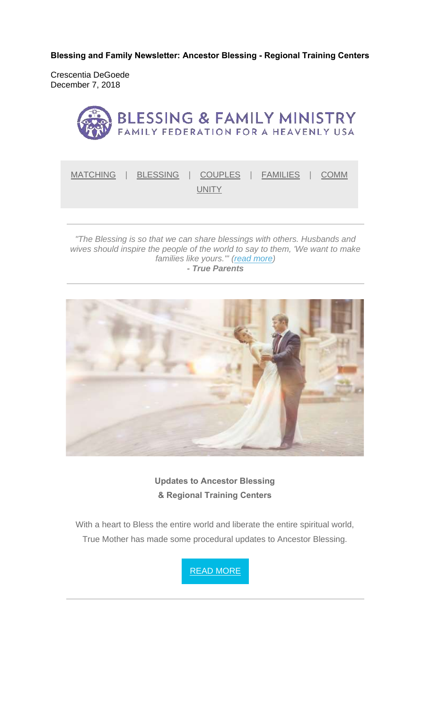**Blessing and Family Newsletter: Ancestor Blessing - Regional Training Centers** 

Crescentia DeGoede December 7, 2018



*"The Blessing is so that we can share blessings with others. Husbands and wives should inspire the people of the world to say to them, 'We want to make families like yours.'" (read more) - True Parents*



**Updates to Ancestor Blessing & Regional Training Centers**

With a heart to Bless the entire world and liberate the entire spiritual world, True Mother has made some procedural updates to Ancestor Blessing.

READ MORE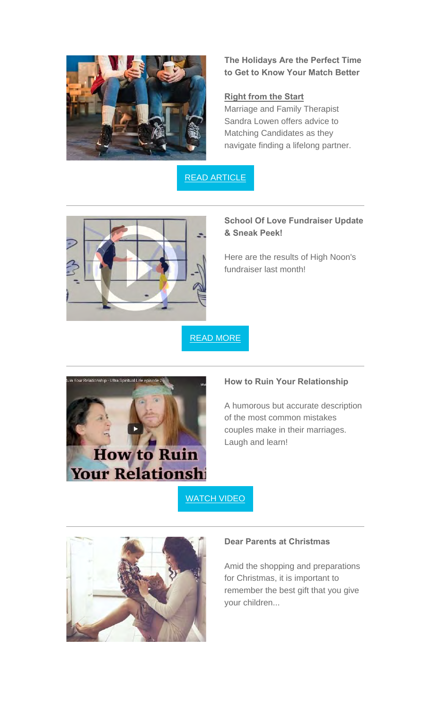

**The Holidays Are the Perfect Time to Get to Know Your Match Better**

### **Right from the Start**

Marriage and Family Therapist Sandra Lowen offers advice to Matching Candidates as they navigate finding a lifelong partner.

READ ARTICLE



# **School Of Love Fundraiser Update & Sneak Peek!**

Here are the results of High Noon's fundraiser last month!

READ MORE



## **How to Ruin Your Relationship**

A humorous but accurate description of the most common mistakes couples make in their marriages. Laugh and learn!

# WATCH VIDEO



#### **Dear Parents at Christmas**

Amid the shopping and preparations for Christmas, it is important to remember the best gift that you give your children...